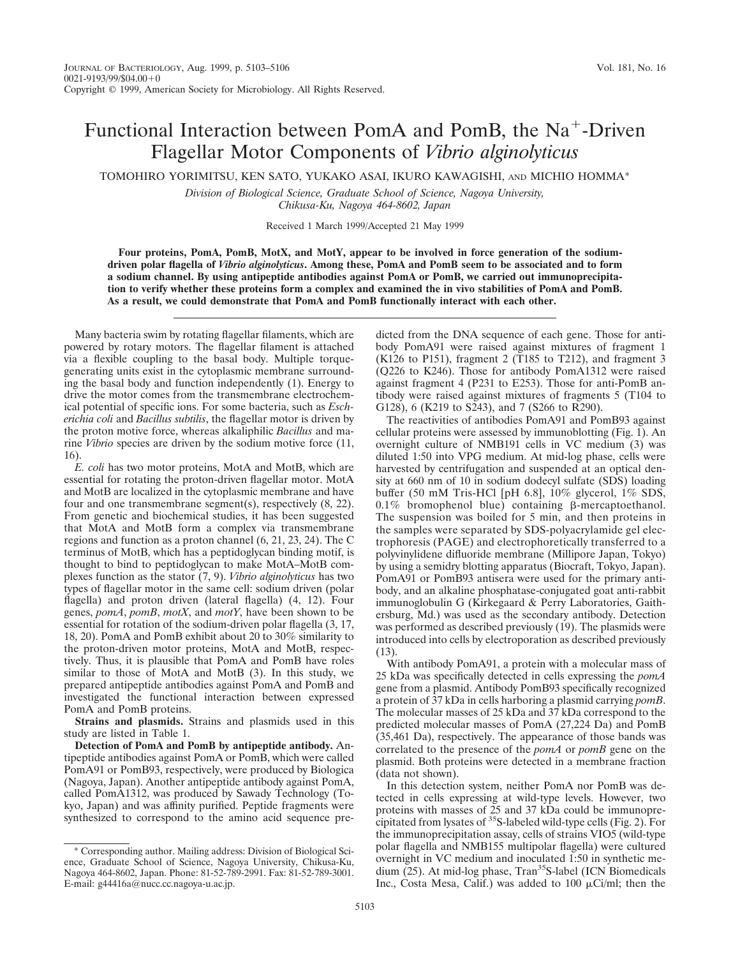## Functional Interaction between PomA and PomB, the  $Na<sup>+</sup>$ -Driven Flagellar Motor Components of *Vibrio alginolyticus*

TOMOHIRO YORIMITSU, KEN SATO, YUKAKO ASAI, IKURO KAWAGISHI, AND MICHIO HOMMA\*

*Division of Biological Science, Graduate School of Science, Nagoya University, Chikusa-Ku, Nagoya 464-8602, Japan*

Received 1 March 1999/Accepted 21 May 1999

**Four proteins, PomA, PomB, MotX, and MotY, appear to be involved in force generation of the sodiumdriven polar flagella of** *Vibrio alginolyticus***. Among these, PomA and PomB seem to be associated and to form a sodium channel. By using antipeptide antibodies against PomA or PomB, we carried out immunoprecipitation to verify whether these proteins form a complex and examined the in vivo stabilities of PomA and PomB. As a result, we could demonstrate that PomA and PomB functionally interact with each other.**

Many bacteria swim by rotating flagellar filaments, which are powered by rotary motors. The flagellar filament is attached via a flexible coupling to the basal body. Multiple torquegenerating units exist in the cytoplasmic membrane surrounding the basal body and function independently (1). Energy to drive the motor comes from the transmembrane electrochemical potential of specific ions. For some bacteria, such as *Escherichia coli* and *Bacillus subtilis*, the flagellar motor is driven by the proton motive force, whereas alkaliphilic *Bacillus* and marine *Vibrio* species are driven by the sodium motive force (11, 16).

*E. coli* has two motor proteins, MotA and MotB, which are essential for rotating the proton-driven flagellar motor. MotA and MotB are localized in the cytoplasmic membrane and have four and one transmembrane segment(s), respectively (8, 22). From genetic and biochemical studies, it has been suggested that MotA and MotB form a complex via transmembrane regions and function as a proton channel (6, 21, 23, 24). The C terminus of MotB, which has a peptidoglycan binding motif, is thought to bind to peptidoglycan to make MotA–MotB complexes function as the stator (7, 9). *Vibrio alginolyticus* has two types of flagellar motor in the same cell: sodium driven (polar flagella) and proton driven (lateral flagella) (4, 12). Four genes, *pomA*, *pomB*, *motX*, and *motY*, have been shown to be essential for rotation of the sodium-driven polar flagella (3, 17, 18, 20). PomA and PomB exhibit about 20 to 30% similarity to the proton-driven motor proteins, MotA and MotB, respectively. Thus, it is plausible that PomA and PomB have roles similar to those of MotA and MotB (3). In this study, we prepared antipeptide antibodies against PomA and PomB and investigated the functional interaction between expressed PomA and PomB proteins.

**Strains and plasmids.** Strains and plasmids used in this study are listed in Table 1.

**Detection of PomA and PomB by antipeptide antibody.** Antipeptide antibodies against PomA or PomB, which were called PomA91 or PomB93, respectively, were produced by Biologica (Nagoya, Japan). Another antipeptide antibody against PomA, called PomA1312, was produced by Sawady Technology (Tokyo, Japan) and was affinity purified. Peptide fragments were synthesized to correspond to the amino acid sequence predicted from the DNA sequence of each gene. Those for antibody PomA91 were raised against mixtures of fragment 1  $(K126$  to P151), fragment 2 (T185 to T212), and fragment 3 (Q226 to K246). Those for antibody PomA1312 were raised against fragment 4 (P231 to E253). Those for anti-PomB antibody were raised against mixtures of fragments 5 (T104 to G128), 6 (K219 to S243), and 7 (S266 to R290).

The reactivities of antibodies PomA91 and PomB93 against cellular proteins were assessed by immunoblotting (Fig. 1). An overnight culture of NMB191 cells in VC medium (3) was diluted 1:50 into VPG medium. At mid-log phase, cells were harvested by centrifugation and suspended at an optical density at 660 nm of 10 in sodium dodecyl sulfate (SDS) loading buffer (50 mM Tris-HCl [pH 6.8], 10% glycerol, 1% SDS, 0.1% bromophenol blue) containing  $\beta$ -mercaptoethanol. The suspension was boiled for 5 min, and then proteins in the samples were separated by SDS-polyacrylamide gel electrophoresis (PAGE) and electrophoretically transferred to a polyvinylidene difluoride membrane (Millipore Japan, Tokyo) by using a semidry blotting apparatus (Biocraft, Tokyo, Japan). PomA91 or PomB93 antisera were used for the primary antibody, and an alkaline phosphatase-conjugated goat anti-rabbit immunoglobulin G (Kirkegaard & Perry Laboratories, Gaithersburg, Md.) was used as the secondary antibody. Detection was performed as described previously (19). The plasmids were introduced into cells by electroporation as described previously (13).

With antibody PomA91, a protein with a molecular mass of 25 kDa was specifically detected in cells expressing the *pomA* gene from a plasmid. Antibody PomB93 specifically recognized a protein of 37 kDa in cells harboring a plasmid carrying *pomB*. The molecular masses of 25 kDa and 37 kDa correspond to the predicted molecular masses of PomA (27,224 Da) and PomB (35,461 Da), respectively. The appearance of those bands was correlated to the presence of the *pomA* or *pomB* gene on the plasmid. Both proteins were detected in a membrane fraction (data not shown).

In this detection system, neither PomA nor PomB was detected in cells expressing at wild-type levels. However, two proteins with masses of 25 and 37 kDa could be immunopre-<br>cipitated from lysates of <sup>35</sup>S-labeled wild-type cells (Fig. 2). For the immunoprecipitation assay, cells of strains VIO5 (wild-type polar flagella and NMB155 multipolar flagella) were cultured overnight in VC medium and inoculated 1:50 in synthetic medium  $(25)$ . At mid-log phase, Tran<sup>35</sup>S-label (ICN Biomedicals Inc., Costa Mesa, Calif.) was added to 100  $\mu$ Ci/ml; then the

<sup>\*</sup> Corresponding author. Mailing address: Division of Biological Science, Graduate School of Science, Nagoya University, Chikusa-Ku, Nagoya 464-8602, Japan. Phone: 81-52-789-2991. Fax: 81-52-789-3001. E-mail: g44416a@nucc.cc.nagoya-u.ac.jp.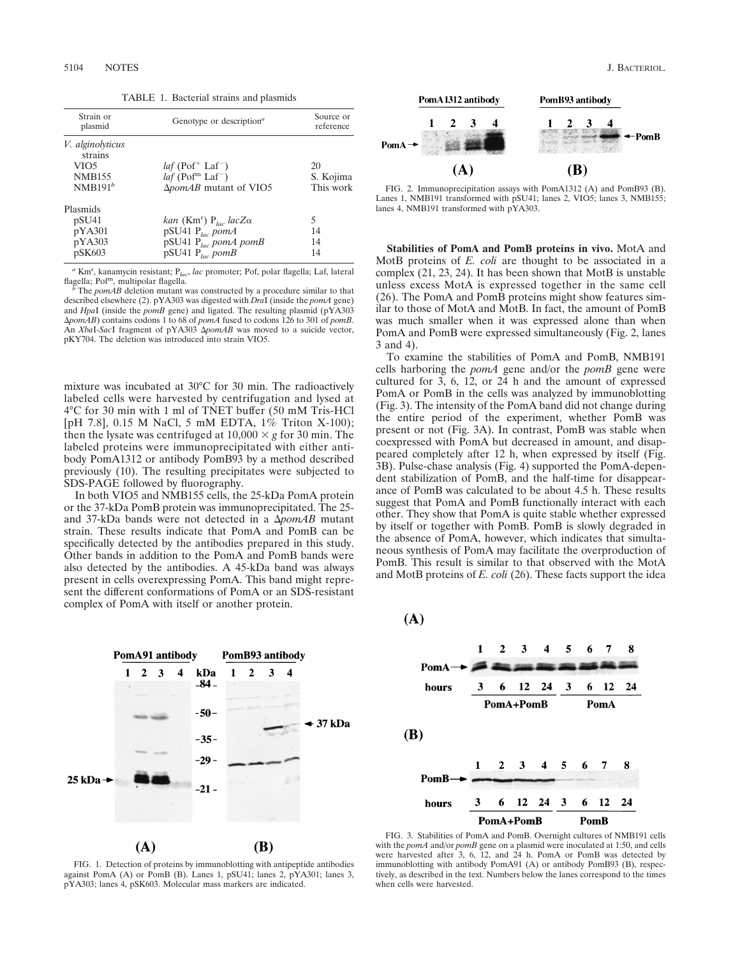TABLE 1. Bacterial strains and plasmids

| Strain or<br>plasmid                                                                  | Genotype or description <sup><math>a</math></sup>                                                                                  | Source or<br>reference       |
|---------------------------------------------------------------------------------------|------------------------------------------------------------------------------------------------------------------------------------|------------------------------|
| <i>V. alginolyticus</i><br>strains<br>VIO <sub>5</sub><br><b>NMB155</b><br>$NMB191^b$ | $laf$ (Pof <sup>+</sup> Laf <sup>-</sup> )<br>$laf$ (Pof <sup>m</sup> Laf <sup>-</sup> )<br>$\Delta$ <i>pomAB</i> mutant of VIO5   | 20<br>S. Kojima<br>This work |
| Plasmids<br>pSU <sub>41</sub><br>pYA301<br>pYA303<br>pSK603                           | kan (Km <sup>r</sup> ) P <sub>lac</sub> lacZ $\alpha$<br>pSU41 $P_{loc}$ pomA<br>pSU41 $P_{lac}$ pomA pomB<br>pSU41 $P_{loc}$ pomB | 5<br>14<br>14<br>14          |

*<sup>a</sup>* Kmr , kanamycin resistant; P*lac*, *lac* promoter; Pof, polar flagella; Laf, lateral flagella; Pof<sup>m</sup>, multipolar flagella.<br>*b* The *pomAB* deletion mutant was constructed by a procedure similar to that

described elsewhere (2). pYA303 was digested with *Dra*I (inside the *pomA* gene) and *Hpa*I (inside the *pomB* gene) and ligated. The resulting plasmid (pYA303 D*pomAB*) contains codons 1 to 68 of *pomA* fused to codons 126 to 301 of *pomB*. An *XbaI-SacI* fragment of pYA303  $\Delta$ *pomAB* was moved to a suicide vector, pKY704. The deletion was introduced into strain VIO5.

mixture was incubated at 30°C for 30 min. The radioactively labeled cells were harvested by centrifugation and lysed at 4°C for 30 min with 1 ml of TNET buffer (50 mM Tris-HCl [pH 7.8], 0.15 M NaCl, 5 mM EDTA, 1% Triton X-100); then the lysate was centrifuged at  $10,000 \times g$  for 30 min. The labeled proteins were immunoprecipitated with either antibody PomA1312 or antibody PomB93 by a method described previously (10). The resulting precipitates were subjected to SDS-PAGE followed by fluorography.

In both VIO5 and NMB155 cells, the 25-kDa PomA protein or the 37-kDa PomB protein was immunoprecipitated. The 25 and 37-kDa bands were not detected in a  $\Delta p$ omAB mutant strain. These results indicate that PomA and PomB can be specifically detected by the antibodies prepared in this study. Other bands in addition to the PomA and PomB bands were also detected by the antibodies. A 45-kDa band was always present in cells overexpressing PomA. This band might represent the different conformations of PomA or an SDS-resistant complex of PomA with itself or another protein.





FIG. 2. Immunoprecipitation assays with PomA1312 (A) and PomB93 (B). Lanes 1, NMB191 transformed with pSU41; lanes 2, VIO5; lanes 3, NMB155; lanes 4, NMB191 transformed with pYA303.

**Stabilities of PomA and PomB proteins in vivo.** MotA and MotB proteins of *E. coli* are thought to be associated in a complex (21, 23, 24). It has been shown that MotB is unstable unless excess MotA is expressed together in the same cell (26). The PomA and PomB proteins might show features similar to those of MotA and MotB. In fact, the amount of PomB was much smaller when it was expressed alone than when PomA and PomB were expressed simultaneously (Fig. 2, lanes 3 and 4).

To examine the stabilities of PomA and PomB, NMB191 cells harboring the *pomA* gene and/or the *pomB* gene were cultured for 3, 6, 12, or 24 h and the amount of expressed PomA or PomB in the cells was analyzed by immunoblotting (Fig. 3). The intensity of the PomA band did not change during the entire period of the experiment, whether PomB was present or not (Fig. 3A). In contrast, PomB was stable when coexpressed with PomA but decreased in amount, and disappeared completely after 12 h, when expressed by itself (Fig. 3B). Pulse-chase analysis (Fig. 4) supported the PomA-dependent stabilization of PomB, and the half-time for disappearance of PomB was calculated to be about 4.5 h. These results suggest that PomA and PomB functionally interact with each other. They show that PomA is quite stable whether expressed by itself or together with PomB. PomB is slowly degraded in the absence of PomA, however, which indicates that simultaneous synthesis of PomA may facilitate the overproduction of PomB. This result is similar to that observed with the MotA and MotB proteins of *E. coli* (26). These facts support the idea





FIG. 3. Stabilities of PomA and PomB. Overnight cultures of NMB191 cells with the *pomA* and/or *pomB* gene on a plasmid were inoculated at 1:50, and cells were harvested after 3, 6, 12, and 24 h. PomA or PomB was detected by immunoblotting with antibody PomA91 (A) or antibody PomB93 (B), respectively, as described in the text. Numbers below the lanes correspond to the times when cells were harvested.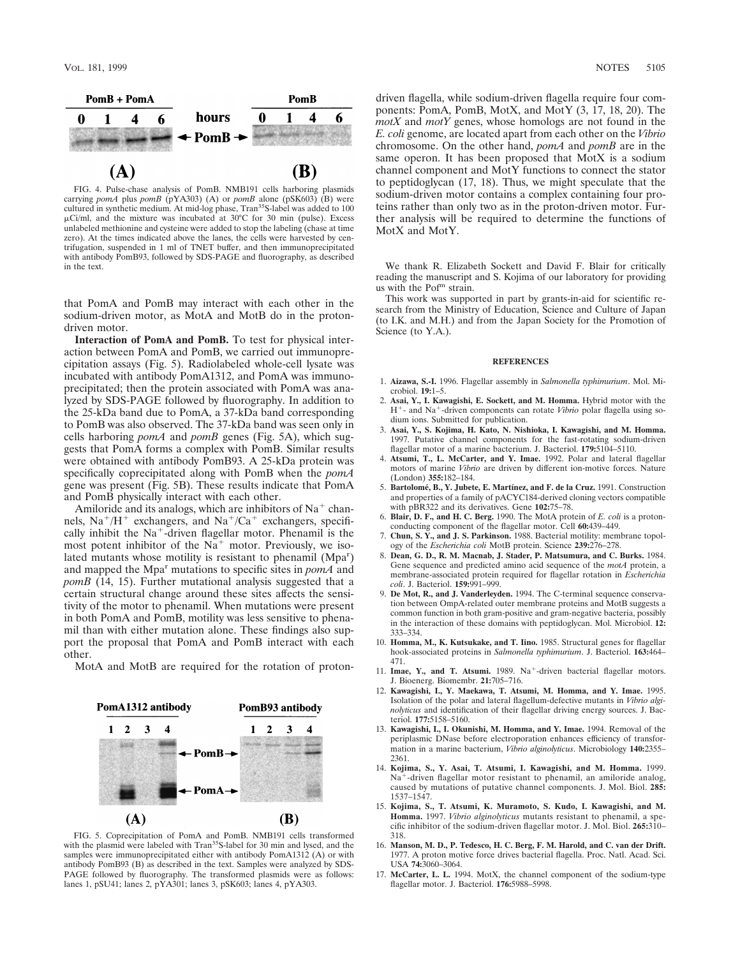

FIG. 4. Pulse-chase analysis of PomB. NMB191 cells harboring plasmids carrying *pomA* plus *pomB* (pYA303) (A) or *pomB* alone (pSK603) (B) were cultured in synthetic medium. At mid-log phase, Tran<sup>35</sup>S-label was added to 100  $\mu$ Ci/ml, and the mixture was incubated at 30°C for 30 min (pulse). Excess unlabeled methionine and cysteine were added to stop the labeling (chase at time zero). At the times indicated above the lanes, the cells were harvested by centrifugation, suspended in 1 ml of TNET buffer, and then immunoprecipitated with antibody PomB93, followed by SDS-PAGE and fluorography, as described in the text.

that PomA and PomB may interact with each other in the sodium-driven motor, as MotA and MotB do in the protondriven motor.

**Interaction of PomA and PomB.** To test for physical interaction between PomA and PomB, we carried out immunoprecipitation assays (Fig. 5). Radiolabeled whole-cell lysate was incubated with antibody PomA1312, and PomA was immunoprecipitated; then the protein associated with PomA was analyzed by SDS-PAGE followed by fluorography. In addition to the 25-kDa band due to PomA, a 37-kDa band corresponding to PomB was also observed. The 37-kDa band was seen only in cells harboring *pomA* and *pomB* genes (Fig. 5A), which suggests that PomA forms a complex with PomB. Similar results were obtained with antibody PomB93. A 25-kDa protein was specifically coprecipitated along with PomB when the *pomA* gene was present (Fig. 5B). These results indicate that PomA and PomB physically interact with each other.

Amiloride and its analogs, which are inhibitors of  $Na<sup>+</sup>$  channels,  $Na^{+}/H^{+}$  exchangers, and  $Na^{+}/Ca^{+}$  exchangers, specifically inhibit the  $Na<sup>+</sup>$ -driven flagellar motor. Phenamil is the most potent inhibitor of the  $Na<sup>+</sup>$  motor. Previously, we isolated mutants whose motility is resistant to phenamil (Mpa<sup>r</sup>) and mapped the Mpa<sup>r</sup> mutations to specific sites in *pomA* and *pomB* (14, 15). Further mutational analysis suggested that a certain structural change around these sites affects the sensitivity of the motor to phenamil. When mutations were present in both PomA and PomB, motility was less sensitive to phenamil than with either mutation alone. These findings also support the proposal that PomA and PomB interact with each other.

MotA and MotB are required for the rotation of proton-



FIG. 5. Coprecipitation of PomA and PomB. NMB191 cells transformed with the plasmid were labeled with Tran<sup>35</sup>S-label for 30 min and lysed, and the samples were immunoprecipitated either with antibody PomA1312 (A) or with antibody PomB93 (B) as described in the text. Samples were analyzed by SDS-PAGE followed by fluorography. The transformed plasmids were as follows: lanes 1, pSU41; lanes 2, pYA301; lanes 3, pSK603; lanes 4, pYA303.

driven flagella, while sodium-driven flagella require four components: PomA, PomB, MotX, and MotY (3, 17, 18, 20). The *motX* and *motY* genes, whose homologs are not found in the *E. coli* genome, are located apart from each other on the *Vibrio* chromosome. On the other hand, *pomA* and *pomB* are in the same operon. It has been proposed that MotX is a sodium channel component and MotY functions to connect the stator to peptidoglycan (17, 18). Thus, we might speculate that the sodium-driven motor contains a complex containing four proteins rather than only two as in the proton-driven motor. Further analysis will be required to determine the functions of MotX and MotY.

We thank R. Elizabeth Sockett and David F. Blair for critically reading the manuscript and S. Kojima of our laboratory for providing us with the Pof<sup>m</sup> strain.

This work was supported in part by grants-in-aid for scientific research from the Ministry of Education, Science and Culture of Japan (to I.K. and M.H.) and from the Japan Society for the Promotion of Science (to Y.A.).

## **REFERENCES**

- 1. **Aizawa, S.-I.** 1996. Flagellar assembly in *Salmonella typhimurium*. Mol. Microbiol. **19:**1–5.
- 2. **Asai, Y., I. Kawagishi, E. Sockett, and M. Homma.** Hybrid motor with the H<sup>+</sup>- and Na<sup>+</sup>-driven components can rotate *Vibrio* polar flagella using sodium ions. Submitted for publication.
- 3. **Asai, Y., S. Kojima, H. Kato, N. Nishioka, I. Kawagishi, and M. Homma.** 1997. Putative channel components for the fast-rotating sodium-driven flagellar motor of a marine bacterium. J. Bacteriol. **179:**5104–5110.
- 4. **Atsumi, T., L. McCarter, and Y. Imae.** 1992. Polar and lateral flagellar motors of marine *Vibrio* are driven by different ion-motive forces. Nature (London) **355:**182–184.
- 5. **Bartolome´, B., Y. Jubete, E. Martı´nez, and F. de la Cruz.** 1991. Construction and properties of a family of pACYC184-derived cloning vectors compatible with pBR322 and its derivatives. Gene **102:**75–78.
- 6. **Blair, D. F., and H. C. Berg.** 1990. The MotA protein of *E. coli* is a protonconducting component of the flagellar motor. Cell **60:**439–449.
- 7. **Chun, S. Y., and J. S. Parkinson.** 1988. Bacterial motility: membrane topology of the *Escherichia coli* MotB protein. Science **239:**276–278.
- 8. **Dean, G. D., R. M. Macnab, J. Stader, P. Matsumura, and C. Burks.** 1984. Gene sequence and predicted amino acid sequence of the *motA* protein, a membrane-associated protein required for flagellar rotation in *Escherichia coli*. J. Bacteriol. **159:**991–999.
- 9. **De Mot, R., and J. Vanderleyden.** 1994. The C-terminal sequence conservation between OmpA-related outer membrane proteins and MotB suggests a common function in both gram-positive and gram-negative bacteria, possibly in the interaction of these domains with peptidoglycan. Mol. Microbiol. **12:** 333–334.
- 10. **Homma, M., K. Kutsukake, and T. Iino.** 1985. Structural genes for flagellar hook-associated proteins in *Salmonella typhimurium*. J. Bacteriol. **163:**464– 471.
- 11. **Imae, Y., and T. Atsumi.** 1989. Na<sup>+</sup>-driven bacterial flagellar motors. J. Bioenerg. Biomembr. **21:**705–716.
- 12. **Kawagishi, I., Y. Maekawa, T. Atsumi, M. Homma, and Y. Imae.** 1995. Isolation of the polar and lateral flagellum-defective mutants in *Vibrio alginolyticus* and identification of their flagellar driving energy sources. J. Bacteriol. **177:**5158–5160.
- 13. **Kawagishi, I., I. Okunishi, M. Homma, and Y. Imae.** 1994. Removal of the periplasmic DNase before electroporation enhances efficiency of transformation in a marine bacterium, *Vibrio alginolyticus*. Microbiology **140:**2355– 2361.
- 14. **Kojima, S., Y. Asai, T. Atsumi, I. Kawagishi, and M. Homma.** 1999.  $Na<sup>+</sup>$ -driven flagellar motor resistant to phenamil, an amiloride analog, caused by mutations of putative channel components. J. Mol. Biol. **285:** 1537–1547.
- 15. **Kojima, S., T. Atsumi, K. Muramoto, S. Kudo, I. Kawagishi, and M. Homma.** 1997. *Vibrio alginolyticus* mutants resistant to phenamil, a specific inhibitor of the sodium-driven flagellar motor. J. Mol. Biol. **265:**310– 318.
- 16. **Manson, M. D., P. Tedesco, H. C. Berg, F. M. Harold, and C. van der Drift.** 1977. A proton motive force drives bacterial flagella. Proc. Natl. Acad. Sci. USA **74:**3060–3064.
- 17. **McCarter, L. L.** 1994. MotX, the channel component of the sodium-type flagellar motor. J. Bacteriol. **176:**5988–5998.